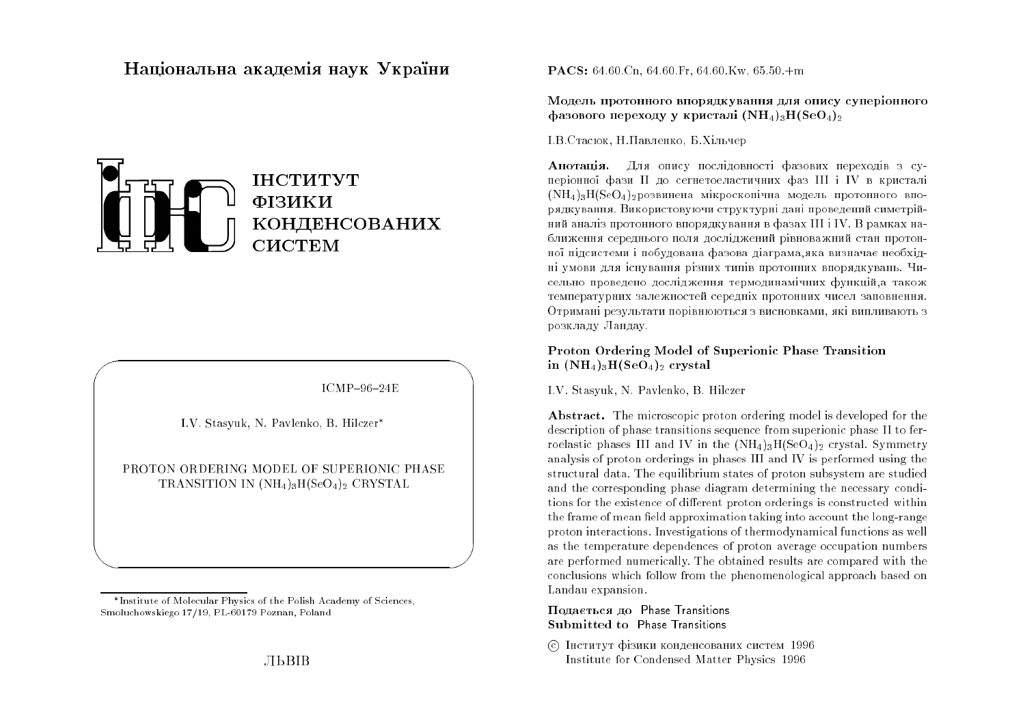# Національна академія наук Україн<mark>и</mark>



 $ICMP-96-24E$ 

 $\bigwedge$ 

 $\bigcup$ 

I.V. Stasyuk, N. Pavlenko, B. Hilczer

 $\bigg($ 

&

PROTON ORDERING MODEL OF SUPERIONIC PHASETRANSITION IN  $(NH_4)_3H(SeO_4)_2$  CRYSTAL

 $\mathbf{PACS:} \ 64.60\ \mathrm{Cn},\ 64.60\ \mathrm{Fr},\ 64.60\ \mathrm{Kw},\ 65.50\ +m$ 

Модель протонного впорядкування для опису суперіонного фазового переходу у кристалі  $(\mathbf{N}\mathbf{H}_4)_3\mathbf{H}(\mathbf{SeO}_4)_2$ 

I.В.Стасюк, Н.Павленко, Б.Хільчер

**Анотація.** Для опису послідовності фазових переходів з суперіонної фази II до сегнетоеластичних фаз III і IV в кристалі<br>(NH) H(S O )  $(\mathrm{NH}_4)_3\mathrm{H}(\mathrm{SeO}_4)_2$ розвинена мікроскопічна модель протонного впорядкування. Використовуючи структурні дані проведений симетрійний аналіз протонного впорядкування в фазах III і IV. В рамках наближення середнього поля досліджений рівноважний стан протонної підсистеми і побудована фазова діаграма, яка визначає необхідні умови для існування різних типів протонних впорядкувань. Чисельно проведено дослідження термодинамічних функцій,а також температурних залежностей середніх протонних чисел заповнення. Отримані результати порівнюються з висновками, які випливають з розкладу Ландау.

# Proton Ordering Model of Superionic Phase Transition $\, {\rm in} \,\, {\rm (NH_4)_3H(SeO_4)_2} \,\, {\rm crystal}$

I.V. Stasyuk, N. Pavlenko, B. Hilczer

 ${\bf A}$ bs ${\bf tract}$  . The microscopic proton ordering model is developed for the description of phase transitions sequence from superionic phase II to ferroelastic phases III and IV in the  $(NH_4)_3H(SeO_4)_2$  crystal. Symmetry analysis of proton orderings in <sup>p</sup>hases III and IV is performed using the structural data. The equilibrium states of proton subsystem are studied and the corresponding <sup>p</sup>hase diagram determining the necessary conditions for the existence of different proton orderings is constructed within the frame of mean field approximation taking into account the long-range proton interactions. Investigations of thermodynamical functions as well as the temperature dependences of proton average occupation numbers are performed numerically. The obtained results are compared with the conclusions which follow from the <sup>p</sup>henomenological approach based onLandau expansion.

# $\Pi$ одається до $\;$  Phase Transitions Submitted to Phase Transitions

© Інститут фізики конденсованих систем 1996 Institute for Condensed Matter Physics <sup>1996</sup>

Institute of Molecular Physics of the Polish Academy of Sciences,Smoluchowskiego 17/19, PL-60179 Poznan, Poland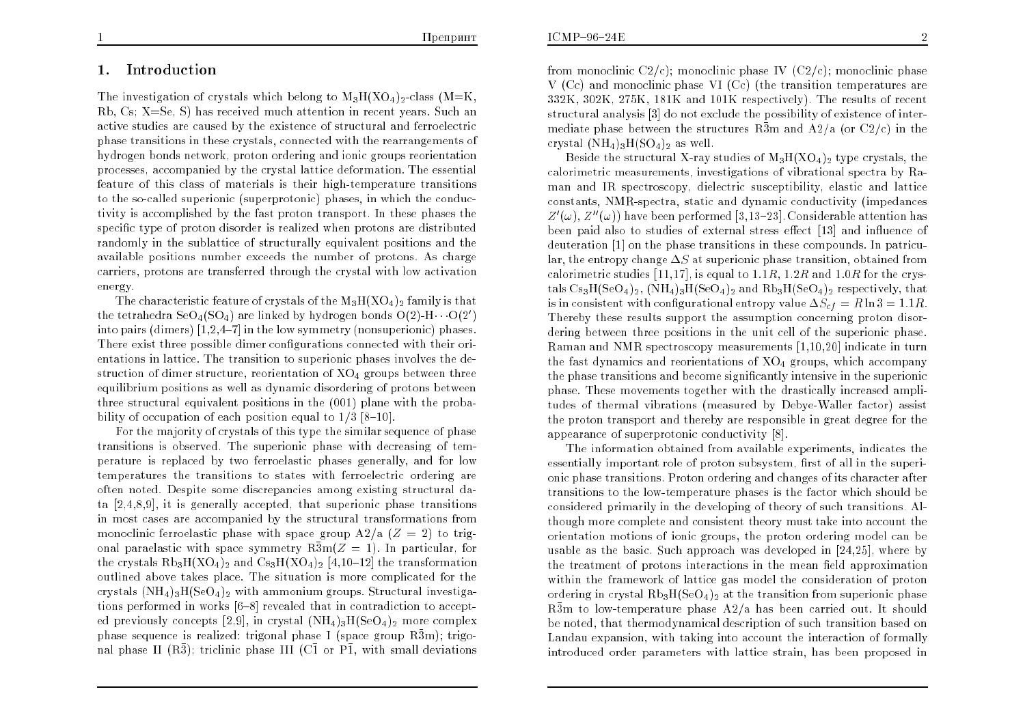# 1. Introduction

The investigation of crystals which belong to  $\rm M_3H(XO_4)_2\text{-class}$  (M=K, Rb, Cs; X=Se, S) has received much attention in recent years. Such an active studies are caused by the existence of structural and ferroelectric <sup>p</sup>hase transitions in these crystals, connected with the rearrangements of hydrogen bonds network, proton ordering and ionic groups reorientation processes, accompanied by the crystal lattice deformation. The essential feature of this class of materials is their high-temperature transitions to the so-called superionic (superprotonic) <sup>p</sup>hases, in which the conductivity is accomplished by the fast proton transport. In these phases thespecific type of proton disorder is realized when protons are distributed randomly in the sublattice of structurally equivalent positions and the available positions number exceeds the number of protons. As charge carriers, protons are transferred through the crystal with low activationenergy.

The characteristic feature of crystals of the  $\rm M_3H(XO_4)_2$  family is that the tetrahedra SeO<sub>4</sub>(SO<sub>4</sub>) are linked by hydrogen bonds O(2)-H  $\cdot$  O(2') into pairs (dimers)  $[1,\!2,\!4\!-\!7]$  in the low symmetry (nonsuperionic) phases. There exist three possible dimer configurations connected with their orientations in lattice. The transition to superionic phases involves the de- $\frac{1}{2}$  structure, reorientation of  $\rm{XO_{4}}$  groups between three equilibrium positions as well as dynamic disordering of protons between three structural equivalent positions in the (001) <sup>p</sup>lane with the probability of occupation of each position equal to  $1/3$  [8-10].

 For the majority of crystals of this type the similar sequence of phase transitions is observed. The superionic <sup>p</sup>hase with decreasing of temperature is replaced by two ferroelastic phases generally, and for low temperatures the transitions to states with ferroelectric ordering are often noted. Despite some discrepancies among existing structural data [2,4,8,9], it is generally accepted, that superionic <sup>p</sup>hase transitions in most cases are accompanied <sup>b</sup>y the structural transformations frommonoclinic ferroelastic phase with space group  $A2/a$  ( $Z=2$ ) to trigonal paraelastic with space symmetry  $R\bar{3}m(Z=1)$ . In particular, for the crystals  $Rb_3H(XO_4)_2$  and  $Cs_3H(XO_4)_2$  [4,10–12] the transformation outlined abo ve takes <sup>p</sup>lace. The situation is more complicated for the crystals  $(NH_4)_{3}H(SeO_4)_{2}$  with ammonium groups. Structural investigations performed in works  $[6-8]$  revealed that in contradiction to accepted previously concepts [2,9], in crystal  $(\mathrm{NH_4})_3\mathrm{H}(\mathrm{SeO_4})_2$  more complex phase sequence is realized: trigonal phase I (space group  $\bar{\mathrm{R3m}})$ ; trigonal phase II  $(R\bar{3})$ ; triclinic phase III  $(C\bar{1}$  or  $P\bar{1}$ , with small deviations

from monoclinic C2/c); monoclinic phase IV (C2/c); monoclinic phase <sup>V</sup> (Cc) and monoclinic <sup>p</sup>hase VI (Cc) (the transition temperatures are $332\mathrm{K},\,302\mathrm{K},\,275\mathrm{K},\,181\mathrm{K}$  and  $101\mathrm{K}$  respectively). The results of recent structural analysis [3] do not exclude the possibility of existence of intermediate phase bet ween the structures <sup>R</sup>3m and A2/a (or C2/c) in thecrystal  $(NH_4)_3H(SO_4)_2$  as well.

Beside the structural X-ray studies of  $M_3H(XO_4)_2$  type crystals, the calorimetric measurements, investigations of vibrational spectra by Raman and IR spectroscopy, dielectric susceptibility, elastic and lattice constants, NMR-spectra, static and dynamic conductivity (impedances $Z^{\prime}(\omega)$  ,  $Z^{\prime\prime}(\omega))$  have been performed [3,13–23]. Considerable attention has been paid also to studies of external stress effect [13] and influence of deuteration [1] on the <sup>p</sup>hase transitions in these compounds. In patricular, the entropy change  $\Delta S$  at superionic phase transition, obtained from calorimetric studies [11,17], is equal to  $1.1R$ ,  $1.2R$  and  $1.0R$  for the crystals  $\text{Cs}_3\text{H}(\text{SeO}_4)_2$  ,  $(\text{NH}_4)_3\text{H}(\text{SeO}_4)_2$  and  $\text{Rb}_3\text{H}(\text{SeO}_4)_2$  respectively, that is in consistent with configurational entropy value  $\Delta S_{cf}=R\ln 3 = 1.1R$ . Thereby these results suppor<sup>t</sup> the assumption concerning proton disordering between three positions in the unit cell of the superionic <sup>p</sup>hase. Raman and NMR spectroscopy measurements [1,10,20] indicate in turnthe fast dynamics and reorientations of  $\rm{XO_4}$  groups, which accompany the <sup>p</sup>hase transitions and become signicantly intensive in the superionic phase. These movements together with the drastically increased amplitudes of thermal vibrations (measured by Debye-Waller factor) assist the proton transport and thereby are responsible in grea<sup>t</sup> degree for theappearance of superprotonic conductivity [8].

 The information obtained from <sup>a</sup>vailable experiments, indicates theessentially important role of proton subsystem, first of all in the superionic <sup>p</sup>hase transitions. Proton ordering and changes of its character after transitions to the low-temperature phases is the factor which should be considered primarily in the developing of theory of such transitions. Although more complete and consistent theory must take into account the orientation motions of ionic groups, the proton ordering model can be usable as the basic. Such approach was developed in  $[24,25]$ , where by the treatment of protons interactions in the mean field approximation within the framework of lattice gas model the consideration of proton ordering in crystal  $\text{Rb}_3\text{H}(\text{SeO}_4)_2$  at the transition from superionic phase  $R\bar{3}$ m to low-temperature phase  $A2/a$  has been carried out. It should be noted, that thermodynamical description of such transition based on Landau expansion, with taking into account the interaction of formallyintroduced order parameters with lattice strain, has been propose<sup>d</sup> in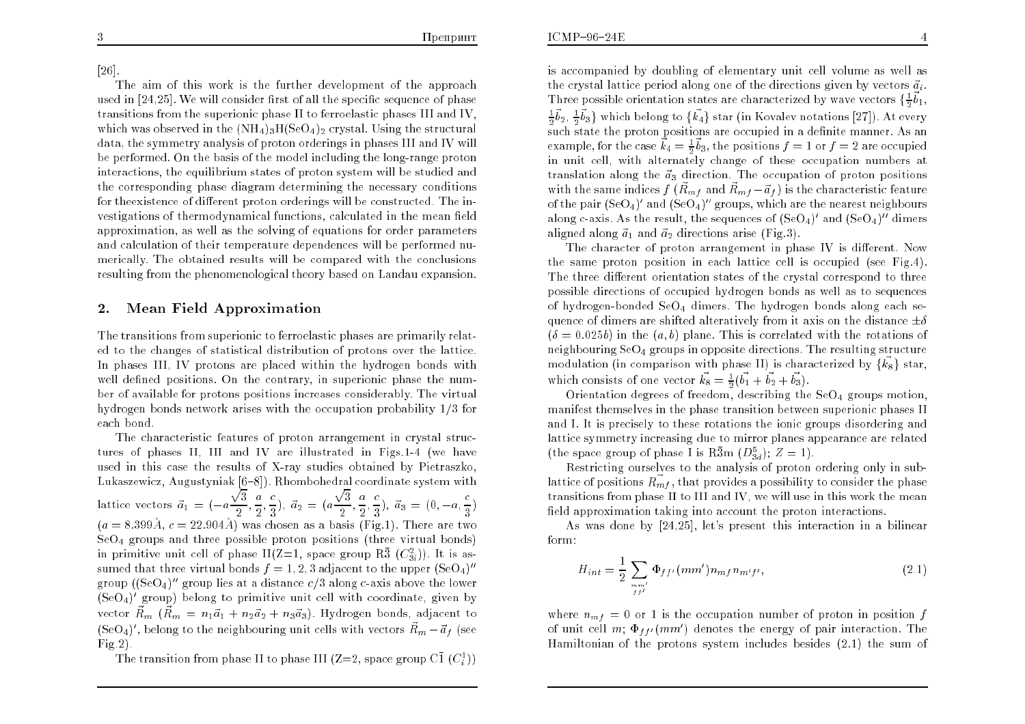### [26].

The aim of this work is the further development of the approach<br>d in [24,25], We will consider first of all the appaifs accurage of phase used in  $\left[ 24,25\right]$ . We will consider first of all the specific sequence of phase transitions from the superionic phase II to ferroelastic phases III and IV,which was observed in the  $(\mathrm{NH}_4)_3\mathrm{H}(\mathrm{SeO_4})_2$  crystal. Using the structural data, the symmetry analysis of proton orderings in <sup>p</sup>hases III and IV willbe performed. On the basis of the model including the long-range proton interactions, the equilibrium states of proton system will be studied and the corresponding <sup>p</sup>hase diagram determining the necessary conditions for the existence of different proton orderings will be constructed. The investigations of thermodynamical functions, calculated in the mean field approximation, as well as the solving of equations for order parametersand calculation of their temperature dependences will be performed numerically. The obtained results will be compare<sup>d</sup> with the conclusions resulting from the <sup>p</sup>henomenological theory based on Landau expansion.

#### 2.Mean Field Approximation

The transitions from superionic to ferroelastic phases are primarily related to the changes of statistical distribution of protons over the lattice. In <sup>p</sup>hases III, IV protons are <sup>p</sup>laced within the hydrogen bonds with well defined positions. On the contrary, in superionic phase the number of <sup>a</sup>vailable for protons positions increases considerably. The virtualhydrogen bonds network arises with the occupation probability  $1/3$  for each bond.

The characteristic features of proton arrangemen<sup>t</sup> in crystal structures of phases II, III and IV are illustrated in Figs.1-4 (we have used in this case the results of X-ra y studies obtainedby Pietraszko, Lukaszewicz, Augustyniak [6–8]). Rhombohedral coordinate system with lattice vectors  $\vec{a}_1 = (-a\frac{\sqrt{3}}{2}, \frac{a}{2}, \frac{c}{3})$ ,  $\vec{a}_2 = (a\frac{\sqrt{3}}{2}, \frac{a}{2}, \frac{c}{3})$ ,  $\vec{a}_3 = (0, -a, \frac{c}{3})$  $\frac{\sqrt{3}}{2}$  $(a = 8.399\AA, c = 22.904\AA)$  was chosen as a basis (Fig.1). There are two  $\frac{a}{2}$  $(\frac{c}{3})$ ,  $\vec{a}_2 = (a)$  $\frac{\sqrt{3}}{2}$  $\frac{a}{2}$  $(\frac{c}{3}), \ \vec{a}_3 = (0, -a, \frac{c}{3})$  SeO4 groups and three possible proton positions (three virtual bonds) in primitive unit cell of phase  $\rm{II} (Z{=}1,$  space group  $\rm{R\bar{3}}$   $\rm{(}C^2_{3i}\rm{)}).$  It is assumed that three virtual bonds  $f = 1, 2, 3$  adjacent to the upper  $({\rm SeO_4})^{\prime\prime}$  $\mathrm{group} \left( (\mathrm{SeO}_4)'' \text{ group lies at a distance } c/3 \text{ along c-axis above the lower} \right)$  $(\mathrm{SeO}_4)'$  group) belong to primitive unit cell with coordinate, given by vector  $\vec{R}_m$  ( $\vec{R}_m = n_1\vec{a}_1 + n_2\vec{a}_2 + n_3\vec{a}_3$ ). Hydrogen bonds, adjacent to  $({\rm SeO_4})^{\prime},$  belong to the neighbouring unit cells with vectors  $\vec{R}_{m}-\vec{a}_{f}$  (see  $Fig.2)$ .

The transition from phase II to phase III (Z=2, space group C $\bar{1}$   $(C_i^1)$ )

is accompanied by doubling of elementary unit cell volume as well as the crystal lattice period along one of the directions given by vectors  $\vec{a}_i$ . Three possible orientation states are characterized by wave vectors  $\{\frac12$  $\frac{1}{2}\vec{b}_2,\,\frac{1}{2}\vec{b}_3\}$  which belong to  $\{\vec{k_4}\}$  star (in Kovalev notations [27]). At every ~ $b_1$ ,  $\tilde{\text{s}}$ uch state the proton positions are occupied in a definite manner. As an  $\vec{b}_2, \, \frac{1}{2}$  $\vec{b}_3^{\phantom{\dag}}\}$  which belong to  $\{\vec{k_4}\}$  star (in Kovalev notations [27]). At every example, for the case  $\vec{k}_4 = \frac{1}{2}\vec{b}_3$ , the positions  $f = 1$  or  $f = 2$  are occupied in unit cell, with alternately change of these occupation numbers at  $\vec{b}_3$ , the positions  $f = 1$  or  $f = 2$  are occupied translation along the  $\vec{a}_3$  direction. The occupation of proton positions with the same indices  $f\left(\vec{R}_{mf}\right)$  and  $\vec{R}_{mf}-\vec{a}_f )$  is the characteristic feature of the pair  $({\rm SeO_4})^{\prime}$  and  $({\rm SeO_4})^{\prime\prime}$  groups, which are the nearest neighbours along c-axis. As the result, the sequences of  $(\text{SeO}_4)'$  and  $(\text{SeO}_4)''$  dimers aligned along  $\vec{a}_1$  and  $\vec{a}_2$  directions arise (Fig.3).

The character of proton arrangement in phase IV is different. Now the same proton position in eac h lattice cell is occupied (see Fig.4). The three different orientation states of the crystal correspond to three possible directions of occupied hydrogen bonds as well as to sequences of hydrogen-bonded SeO<sub>4</sub> dimers. The hydrogen bonds along each sequence of dimers are shifted alteratively from it axis on the distance  $\pm\delta$  $(\delta = 0.025b)$  in the  $(a, b)$  plane. This is correlated with the rotations of neighbouring SeO4 groups in opposite directions. The resulting structure modulation (in comparison with phase II) is characterized by  $\{\vec{k_8}\}$  star, which consists of one vector  $\vec{k_8} = \frac{1}{2}(\vec{b_1} + \vec{b_2} + \vec{b_3})$ .

Orientation degrees of freedom, describing the  $\mathrm{SeO_4}$  groups motion, manifest themselves in the phase transition between superionic phases II and I. It is precisely to these rotations the ionic groups disordering and lattice symmetry increasing due to mirror <sup>p</sup>lanes appearance are related(the space group of phase I is  $R\bar{3}$ m  $(D_{3d}^5)$ ;  $Z=1$ ).

 Restricting ourselves to the analysis of proton ordering only in sublattice of positions  $\vec{R_{mf}}$ , that provides a possibility to consider the phase transitions from phase II to III and IV, we will use in this work the meanfield approximation taking into account the proton interactions.

As was done by [24,25], let's present this interaction in a bilinear form:

$$
H_{int} = \frac{1}{2} \sum_{\substack{mm'\\ff'}} \Phi_{ff'}(mm') n_{mf} n_{m'f'}, \qquad (2.1)
$$

where  $n_{mf} = 0$  or 1 is the occupation number of proton in position  $f$ of unit cell  $m;$   $\Phi_{ff'}(mm')$  denotes the energy of pair interaction. The Hamiltonian of the protons system includes besides (2.1) the sum of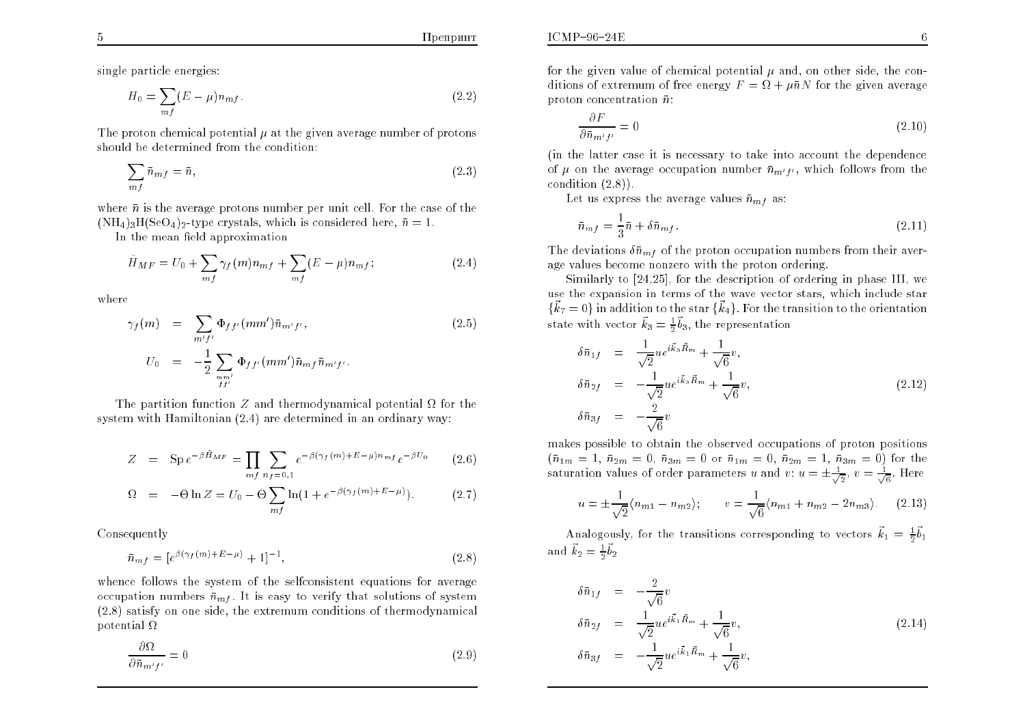single particle energies:

$$
H_0 = \sum_{mf} (E - \mu) n_{mf} \,. \tag{2.2}
$$

The proton chemical potential  $\mu$  at the given average number of protons should be determined from the condition:

$$
\sum_{mf} \bar{n}_{mf} = \bar{n},\tag{2.3}
$$

where  $\bar{n}$  is the average protons number per unit cell. For the case of the  $(NH_4)_{3}H(SeO_4)_{2}$ -type crystals, which is considered here,  $\bar{n}=1$ .

In the mean field approximation

$$
\hat{H}_{MF} = U_0 + \sum_{mf} \gamma_f(m) n_{mf} + \sum_{mf} (E - \mu) n_{mf};
$$
\n(2.4)

where

$$
\gamma_f(m) = \sum_{m'f'} \Phi_{ff'}(mm') \bar{n}_{m'f'},
$$
\n
$$
U_0 = -\frac{1}{2} \sum_{m m'} \Phi_{ff'}(mm') \bar{n}_{mf} \bar{n}_{m'f'}.
$$
\n(2.5)

The partition function Z and thermodynamical potential  $\Omega$  for the system with Hamiltonian (2.4) are determined in an ordinary way:

$$
Z = \text{Sp } e^{-\beta \hat{H}_{MF}} = \prod_{m} \sum_{n_f=0,1} e^{-\beta (\gamma_f(m) + E - \mu) n_{mf}} e^{-\beta U_0}
$$
(2.6)

$$
\Omega = -\Theta \ln Z = U_0 - \Theta \sum_{mf} \ln \left( 1 + e^{-\beta(\gamma_f(m) + E - \mu)} \right). \tag{2.7}
$$

Consequently

$$
\bar{n}_{mf} = [e^{\beta(\gamma_f(m) + E - \mu)} + 1]^{-1}, \tag{2.8}
$$

whence follows the system of the selfconsistent equations for average<br>examples with  $\bar{z}$ . It is again to write that colutions of autumn occupation numbers  $\bar{n}_{mf}$ . It is easy to verify that solutions of system (2.8) satisfy on one side, the extremum conditions of thermodynamicalpotential  $\Omega$ 

$$
\frac{\partial \Omega}{\partial \bar{n}_{m'f'}} = 0 \tag{2.9}
$$

$$
\frac{\partial F}{\partial \bar{n}_{m'f'}} = 0 \tag{2.10}
$$

(in the latter case it is necessary to take into account the dependence of  $\mu$  on the average occupation number  $\bar{n}_{m'f'}$ , which follows from the condition (2.8)).

Let us express the average values  $\bar{n}_{mf}$  as:

$$
\bar{n}_{mf} = \frac{1}{3}\bar{n} + \delta\bar{n}_{mf} \tag{2.11}
$$

The deviations  $\delta \bar{n}_{mf}$  of the proton occupation numbers from their average values become nonzero with the proton ordering.

 Similarly to [24,25], for the description of ordering in <sup>p</sup>hase III, we use the expansion in terms of the wave vector stars, which include star $\{\vec{k}_7 = 0\}$  in addition to the star  $\{\vec{k}_4\}$ . For the transition to the orientation state with vector  $\vec{k}_3 = \frac{1}{2}$  $\vec{b}_3,$  the representation

$$
\delta \bar{n}_{1f} = \frac{1}{\sqrt{2}} u e^{i\vec{k}_3 \vec{R}_m} + \frac{1}{\sqrt{6}} v,
$$
  
\n
$$
\delta \bar{n}_{2f} = -\frac{1}{\sqrt{2}} u e^{i\vec{k}_3 \vec{R}_m} + \frac{1}{\sqrt{6}} v,
$$
  
\n
$$
\delta \bar{n}_{3f} = -\frac{2}{\sqrt{6}} v
$$
\n(2.12)

makes possible to obtain the observed occupations of proton positions  $(\bar{n}_{1m} = 1, \bar{n}_{2m} = 0, \bar{n}_{3m} = 0 \text{ or } \bar{n}_{1m} = 0, \bar{n}_{2m} = 1, \bar{n}_{3m} = 0) \text{ for the}$ saturation values of order parameters u and  $v$ :  $u = \pm \frac{1}{\sqrt{2}}, v = \frac{1}{\sqrt{6}}$ . Here

$$
u = \pm \frac{1}{\sqrt{2}} \langle n_{m1} - n_{m2} \rangle; \qquad v = \frac{1}{\sqrt{6}} \langle n_{m1} + n_{m2} - 2n_{m3} \rangle. \tag{2.13}
$$

Analogously, for the transitions corresponding to vectors  $\vec{k}_1 = \frac{1}{2}$  ${\vec b}_1$ and  $\vec{k}_2 = \frac{1}{2}$  ${\vec b}_2$ 

$$
\delta \bar{n}_{1f} = -\frac{2}{\sqrt{6}}v \n\delta \bar{n}_{2f} = \frac{1}{\sqrt{2}}ue^{i\vec{k}_1\vec{R}_m} + \frac{1}{\sqrt{6}}v, \n\delta \bar{n}_{3f} = -\frac{1}{\sqrt{2}}ue^{i\vec{k}_1\vec{R}_m} + \frac{1}{\sqrt{6}}v,
$$
\n(2.14)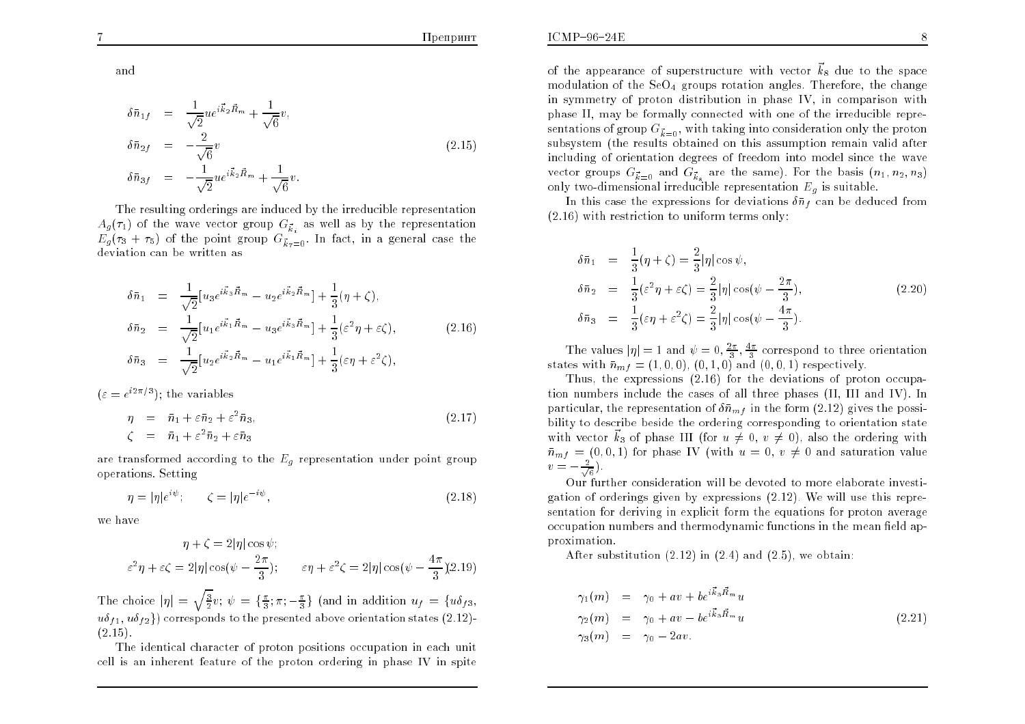and

$$
\delta \bar{n}_{1f} = \frac{1}{\sqrt{2}} u e^{i\vec{k}_2 \vec{R}_m} + \frac{1}{\sqrt{6}} v,
$$
  
\n
$$
\delta \bar{n}_{2f} = -\frac{2}{\sqrt{6}} v
$$
  
\n
$$
\delta \bar{n}_{3f} = -\frac{1}{\sqrt{2}} u e^{i\vec{k}_2 \vec{R}_m} + \frac{1}{\sqrt{6}} v.
$$
\n(2.15)

The resulting orderings are induced by the irreducible representation $A_g(\tau_1)$  of the wave vector group  $G_{\vec{k}_i}$  as well as by the representation  $E_g(\tau_3 + \tau_5)$  of the point group  $G_{\vec{k}_7=0}$ . In fact, in a general case the deviation can be written as

$$
\delta \bar{n}_1 = \frac{1}{\sqrt{2}} [u_3 e^{i\vec{k}_3 \vec{R}_m} - u_2 e^{i\vec{k}_2 \vec{R}_m}] + \frac{1}{3} (\eta + \zeta), \n\delta \bar{n}_2 = \frac{1}{\sqrt{2}} [u_1 e^{i\vec{k}_1 \vec{R}_m} - u_3 e^{i\vec{k}_3 \vec{R}_m}] + \frac{1}{3} (\varepsilon^2 \eta + \varepsilon \zeta), \n\delta \bar{n}_3 = \frac{1}{\sqrt{2}} [u_2 e^{i\vec{k}_2 \vec{R}_m} - u_1 e^{i\vec{k}_1 \vec{R}_m}] + \frac{1}{3} (\varepsilon \eta + \varepsilon^2 \zeta),
$$
\n(2.16)

 $(\varepsilon = e^{i2\pi/3})$ ; the variables

$$
\eta = \bar{n}_1 + \varepsilon \bar{n}_2 + \varepsilon^2 \bar{n}_3, \n\zeta = \bar{n}_1 + \varepsilon^2 \bar{n}_2 + \varepsilon \bar{n}_3
$$
\n(2.17)

are transformed according to the  $E_g$  representation under point group operations. Setting

$$
\eta = |\eta|e^{i\psi}; \qquad \zeta = |\eta|e^{-i\psi}, \tag{2.18}
$$

we have

$$
\eta + \zeta = 2|\eta| \cos \psi;
$$
  

$$
\varepsilon^2 \eta + \varepsilon \zeta = 2|\eta| \cos(\psi - \frac{2\pi}{3}); \qquad \varepsilon \eta + \varepsilon^2 \zeta = 2|\eta| \cos(\psi - \frac{4\pi}{3})(2.19)
$$

The choice  $|\eta| = \sqrt{\frac{3}{2}}v$ ;  $\psi = {\frac{\pi}{3}; \pi; -\frac{\pi}{3}}$  (and in addition  $u_f = {u \delta_{f3}}$ ,  $\{u \delta_{f1},\, u \delta_{f2}\})$  corresponds to the presented above orientation states  $(2.12)$ -; $(2.15)$ .

The identical character of proton positions occupation in each unit cell is an inherent feature of the proton ordering in <sup>p</sup>hase IV in spite of the appearance of superstructure with vector  $\vec{k}_8$  due to the space modulation of the  $\mathrm{SeO_4}$  groups rotation angles. Therefore, the change in symmetry of proton distribution in <sup>p</sup>hase IV, in comparison with phase II, may be formally connected with one of the irreducible representations of group  $G_{\vec{k}=0},$  with taking into consideration only the proton subsystem (the results obtained on this assumption remain valid after<br>including of orientation degrees of freedom into model since the wave including of orientation degrees of freedom into model since the wave<br>water groups  $G = \text{ord } G = \text{ord } \text{deg}$  and  $\text{deg}(\mathbb{R}^n, \mathbb{R}^n)$ vector groups  $G_{\vec{k}=0}$  and  $G_{\vec{k}_8}$  are the same). For the basis  $(n_1, n_2, n_3)$ only two-dimensional irreducible representation  $E_g$  is suitable.

In this case the expressions for deviations  $\delta \bar{n}_f$  can be deduced from (2.16) with restriction to uniform terms only:

$$
\delta \bar{n}_1 = \frac{1}{3} (\eta + \zeta) = \frac{2}{3} |\eta| \cos \psi,
$$
  
\n
$$
\delta \bar{n}_2 = \frac{1}{3} (\varepsilon^2 \eta + \varepsilon \zeta) = \frac{2}{3} |\eta| \cos(\psi - \frac{2\pi}{3}),
$$
  
\n
$$
\delta \bar{n}_3 = \frac{1}{3} (\varepsilon \eta + \varepsilon^2 \zeta) = \frac{2}{3} |\eta| \cos(\psi - \frac{4\pi}{3}).
$$
\n(2.20)

The values  $|\eta| = 1$  and  $\psi = 0, \frac{2\pi}{3}, \frac{4\pi}{3}$  correspond to three orientation states with  $\bar{n}_{mf} = (1,0,0), (0,1,0)$  and  $(0,0,1)$  respectively.

Thus, the expressions (2.16) for the deviations of proton occupation numbers include the cases of all three <sup>p</sup>hases (II, III and IV). In particular, the representation of  $\delta \bar{n}_{mf}$  in the form  $(2.12)$  gives the possibility to describe beside the ordering corresponding to orientation statewith vector  $\vec{k}_3$  of phase III (for  $u \neq 0, v \neq 0$ ), also the ordering with  $\bar{m}_{mf} = (0, 0, 1)$  for phase IV (with  $u = 0, v \neq 0$  and saturation value  $v=-\frac{2}{\sqrt{6}}$ .

 Our further consideration will be devoted to more elaborate investi gation of orderings given by expressions (2.12). We will use this representation for deriving in explicit form the equations for proton <sup>a</sup>verageoccupation numbers and thermodynamic functions in the mean field approximation.

After substitution  $(2.12)$  in  $(2.4)$  and  $(2.5)$ , we obtain:

$$
\gamma_1(m) = \gamma_0 + av + be^{i\vec{k}_3 \vec{R}_m} u
$$
  
\n
$$
\gamma_2(m) = \gamma_0 + av - be^{i\vec{k}_3 \vec{R}_m} u
$$
  
\n
$$
\gamma_3(m) = \gamma_0 - 2av.
$$
\n(2.21)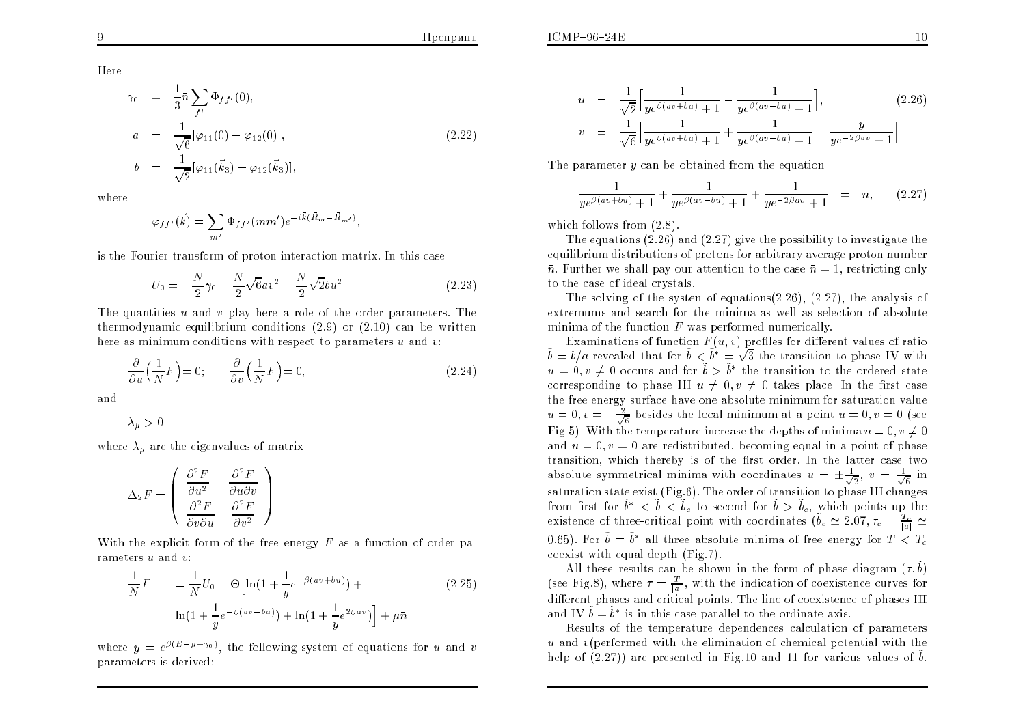Here

$$
\gamma_0 = \frac{1}{3}\bar{n} \sum_{f'} \Phi_{ff'}(0),
$$
  
\n
$$
a = \frac{1}{\sqrt{6}} [\varphi_{11}(0) - \varphi_{12}(0)],
$$
  
\n
$$
b = \frac{1}{\sqrt{2}} [\varphi_{11}(\vec{k}_3) - \varphi_{12}(\vec{k}_3)],
$$
\n(2.22)

where

$$
\varphi_{f f'}(\vec{k}) = \sum_{m'} \Phi_{f f'}(m m') e^{-i\vec{k}(\vec{R}_m - \vec{R}_{m'})},
$$

is the Fourier transform of proton interaction matrix. In this case

$$
U_0 = -\frac{N}{2}\gamma_0 - \frac{N}{2}\sqrt{6}av^2 - \frac{N}{2}\sqrt{2}bu^2.
$$
 (2.23)

The quantities u and <sup>v</sup> <sup>p</sup>lay here <sup>a</sup> role of the order parameters. The thermodynamic equilibrium conditions  $(2.9)$  or  $(2.10)$  can be written<br>have as winimum conditions with second to assessme was a weak we here as minimum conditions with respect to parameters  $u$  and  $v$ :

$$
\frac{\partial}{\partial u} \left( \frac{1}{N} F \right) = 0; \qquad \frac{\partial}{\partial v} \left( \frac{1}{N} F \right) = 0, \tag{2.24}
$$

and

$$
\lambda_{\mu}>0,
$$

where  $\lambda_\mu$  are the eigenvalues of matrix

$$
\Delta_2 F = \begin{pmatrix} \frac{\partial^2 F}{\partial u^2} & \frac{\partial^2 F}{\partial u \partial v} \\ \frac{\partial^2 F}{\partial v \partial u} & \frac{\partial^2 F}{\partial v^2} \end{pmatrix}
$$

With the explicit form of the free energy  $F$  as a function of order parameters  $u$  and  $v$ :

$$
\frac{1}{N}F = \frac{1}{N}U_0 - \Theta \Big[ \ln(1 + \frac{1}{y} e^{-\beta (av + bu)}) + \ln(1 + \frac{1}{y} e^{2\beta av}) \Big] + \mu \bar{n},
$$
\n(2.25)

where  $y = e^{\beta(E - \mu + \gamma_0)}$ , the following system of equations for u and v parameters is derived:

$$
u = \frac{1}{\sqrt{2}} \Big[ \frac{1}{y e^{\beta (av + bu)} + 1} - \frac{1}{y e^{\beta (av - bu)} + 1} \Big],
$$
\n
$$
v = \frac{1}{\sqrt{6}} \Big[ \frac{1}{y e^{\beta (av + bu)} + 1} + \frac{1}{y e^{\beta (av - bu)} + 1} - \frac{y}{y e^{-2\beta a v} + 1} \Big].
$$
\n(2.26)

The parameter  $y$  can be obtained from the equation

$$
\frac{1}{y e^{\beta (av + bu)} + 1} + \frac{1}{y e^{\beta (av - bu)} + 1} + \frac{1}{y e^{-2\beta av} + 1} = \bar{n}, \qquad (2.27)
$$

which follows from  $(2.8)$ .

The equations (2.26) and (2.27) <sup>g</sup>ive the possibility to investigate the equilibrium distributions of protons for arbitrary <sup>a</sup>verage proton number $\bar{n}$ . Further we shall pay our attention to the case  $\bar{n} = 1$ , restricting only to the case of ideal crystals.

The solving of the systen of equations(2.26), (2.27), the analysis of extremums and searc h for the minima as well as selection of absolute minima of the function  $F$  was performed numerically.

Examinations of function  $F(u, v)$  profiles for different values of ratio  $\tilde{b} = b/a$  revealed that for  $\tilde{b} < \tilde{b}^* = \sqrt{3}$  the transition to phase IV with  $u = 0, v \neq 0$  occurs and for  $\tilde{b} > \tilde{b}^*$  the transition to the ordered state corresponding to phase III  $u \neq 0, v \neq 0$  takes place. In the first case the free energy surface have one absolute minimum for saturation value $u = 0, v = -\frac{2}{\sqrt{6}}$  besides the local minimum at a point  $u = 0, v = 0$  (see Fig.5). With the temperature increase the depths of minima  $u = 0, v \neq 0$ and  $u = 0, v = 0$  are redistributed, becoming equal in a point of phase transition, which thereby is of the first order. In the latter case two absolute symmetrical minima with coordinates  $u=\pm\frac{1}{\sqrt{2}},\ v=\frac{1}{\sqrt{6}}$  in saturation state exist (Fig.6). The order of transition to <sup>p</sup>hase III changesfrom first for  $\tilde{b}^* < \tilde{b} < \tilde{b}_c$  to second for  $\tilde{b} > \tilde{b}_c$ , which points up the existence of three-critical point with coordinates  $(\tilde{b}_c \approx 2.07, \tau_c = \frac{T_c}{|a|} \simeq$ 0.65). For  $\tilde{b} = \tilde{b}^*$  all three absolute minima of free energy for  $T < T_c$ coexist with equa<sup>l</sup> depth (Fig.7).

All these results can be shown in the form of phase diagram  $(\tau, \tilde{b})$ (see Fig.8), where  $\tau = \frac{T}{|a|}$ , with the indication of coexistence curves for different phases and critical points. The line of coexistence of phases III and IV  $\tilde{b} = \tilde{b}^*$  is in this case parallel to the ordinate axis.

 Results of the temperature dependences calculation of parameters u and v(performed with the elimination of chemical potential with the help of  $(2.27)$ ) are presented in Fig.10 and 11 for various values of  $\tilde{b}$ .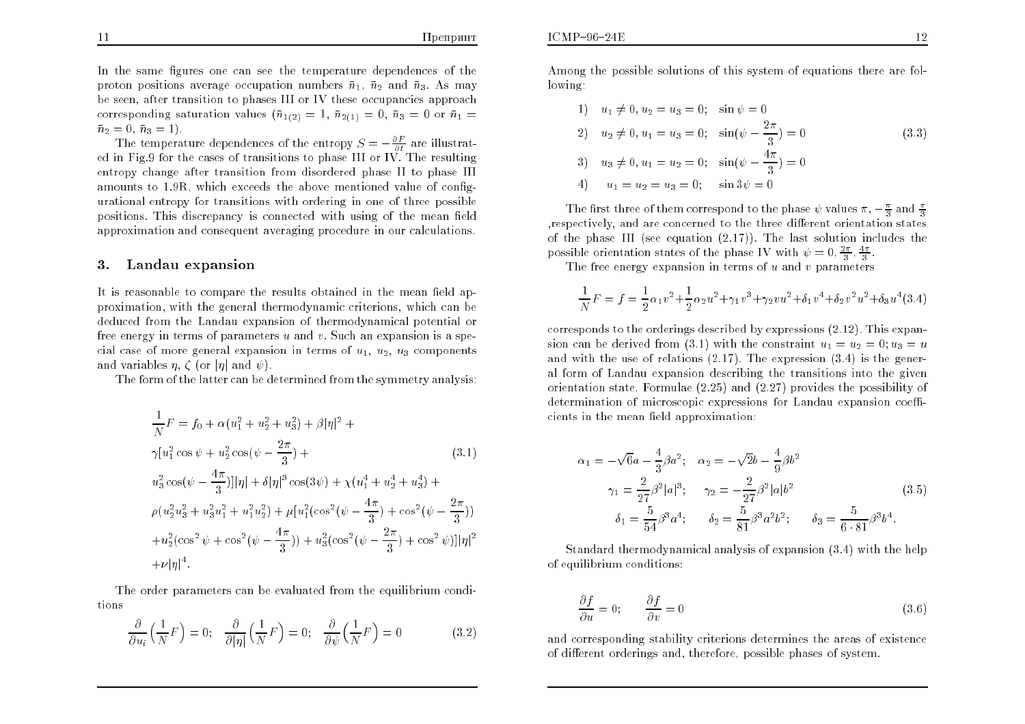In the same figures one can see the temperature dependences of the  $\overline{\phantom{a}}$ proton positions average occupation numbers  $\bar{n}_1$ ,  $\bar{n}_2$  and  $\bar{n}_3$ . As may be seen, after transition to phases III or IV these occupancies approachcorresponding saturation values  $(\bar{n}_{1(2)} = 1, \bar{n}_{2(1)} = 0, \bar{n}_3 = 0$  or  $\bar{n}_1 =$  $\bar{n}_2 = 0, \ \bar{n}_3 = 1$ .

The temperature dependences of the entropy  $S = -\frac{\partial F}{\partial t}$  are illustrat- ed in Fig.9 for the cases of transitions to <sup>p</sup>hase III or IV. The resultingentropy change after transition from disordered phase II to phase III<br>expounts to 1.0P, which execeds the above mentioned whye of sanform amounts to 1.9R, whic h exceeds the abo ve mentioned value of congurational entropy for transitions with ordering in one of three possible positions. This discrepancy is connected with using of the mean field approximation and consequent <sup>a</sup>veraging procedure in our calculations.

#### 3.Landau expansion

It is reasonable to compare the results obtained in the mean field approximation, with the general thermodynamic criterions, which can bededuced from the Landau expansion of thermodynamical potential or<br>free exercy in terms of poremeters word w. Such an expansion is a spefree energy in terms of parameters  $u$  and  $v$ . Such an expansion is a special case of more general expansion in terms of  $u_1, u_2, u_3$  components and variables  $\eta$ ,  $\zeta$  (or  $|\eta|$  and  $\psi$ ).

The form of the latter can be determined from the symmetry analysis:

$$
\frac{1}{N}F = f_0 + \alpha(u_1^2 + u_2^2 + u_3^2) + \beta|\eta|^2 +
$$
\n
$$
\gamma[u_1^2 \cos \psi + u_2^2 \cos(\psi - \frac{2\pi}{3}) +
$$
\n
$$
u_3^2 \cos(\psi - \frac{4\pi}{3})||\eta| + \delta|\eta|^3 \cos(3\psi) + \chi(u_1^4 + u_2^4 + u_3^4) +
$$
\n
$$
\rho(u_2^2 u_3^2 + u_3^2 u_1^2 + u_1^2 u_2^2) + \mu[u_1^2(\cos^2(\psi - \frac{4\pi}{3}) + \cos^2(\psi - \frac{2\pi}{3})) + u_2^2(\cos^2 \psi + \cos^2(\psi - \frac{4\pi}{3})) + u_3^2(\cos^2(\psi - \frac{2\pi}{3}) + \cos^2\psi)]|\eta|^2
$$
\n
$$
+ \nu|\eta|^4.
$$
\n(3.1)

The order parameters can be evaluated from the equilibrium conditions

$$
\frac{\partial}{\partial u_i} \left( \frac{1}{N} F \right) = 0; \quad \frac{\partial}{\partial |\eta|} \left( \frac{1}{N} F \right) = 0; \quad \frac{\partial}{\partial \psi} \left( \frac{1}{N} F \right) = 0 \tag{3.2}
$$

Among the possible solutions of this system of equations there are following:

1) 
$$
u_1 \neq 0, u_2 = u_3 = 0;
$$
  $\sin \psi = 0$   
\n2)  $u_2 \neq 0, u_1 = u_3 = 0;$   $\sin(\psi - \frac{2\pi}{3}) = 0$   
\n3)  $u_3 \neq 0, u_1 = u_2 = 0;$   $\sin(\psi - \frac{4\pi}{3}) = 0$   
\n4)  $u_1 = u_2 = u_3 = 0;$   $\sin 3\psi = 0$ 

The first three of them correspond to the phase  $\psi$  values  $\pi$ ,  $-\frac{\pi}{3}$  and  $\frac{\pi}{3}$ respectively, and are concerned to the three different orientation states of the phase III (see equation  $(2.17)$ ). The last solution includes the possible orientation states of the phase IV with  $\psi = 0, \frac{2\pi}{3}, \frac{4\pi}{3}$ 

The free energy expansion in terms of  $u$  and  $v$  parameters

$$
\frac{1}{N}F = f = \frac{1}{2}\alpha_1 v^2 + \frac{1}{2}\alpha_2 u^2 + \gamma_1 v^3 + \gamma_2 v u^2 + \delta_1 v^4 + \delta_2 v^2 u^2 + \delta_3 u^4 (3.4)
$$

corresponds to the orderings described by expressions (2.12). This expansion can be derived from (3.1) with the constraint  $u_1 = u_2 = 0$ ;  $u_3 = u$  and with the use of relations (2.17). The expression (3.4) is the general form of Landau expansion describing the transitions into the <sup>g</sup>iven orientation state. Formulae (2.25) and (2.27) provides the possibility of $\rm{determination}$  of microscopic expressions for  $\rm{Landau}$  expansion coefficients in the mean field approximation:

$$
\alpha_1 = -\sqrt{6}a - \frac{4}{3}\beta a^2; \quad \alpha_2 = -\sqrt{2}b - \frac{4}{9}\beta b^2
$$
  

$$
\gamma_1 = \frac{2}{27}\beta^2 |a|^3; \quad \gamma_2 = -\frac{2}{27}\beta^2 |a| b^2
$$
  

$$
\delta_1 = \frac{5}{54}\beta^3 a^4; \quad \delta_2 = \frac{5}{81}\beta^3 a^2 b^2; \quad \delta_3 = \frac{5}{6 \cdot 81}\beta^3 b^4.
$$
 (3.5)

Standard thermodynamical analysis of expansion (3.4) with the helpof equilibrium conditions:

$$
\frac{\partial f}{\partial u} = 0; \qquad \frac{\partial f}{\partial v} = 0 \tag{3.6}
$$

and corresponding stability criterions determines the areas of existenceof different orderings and, therefore, possible phases of system.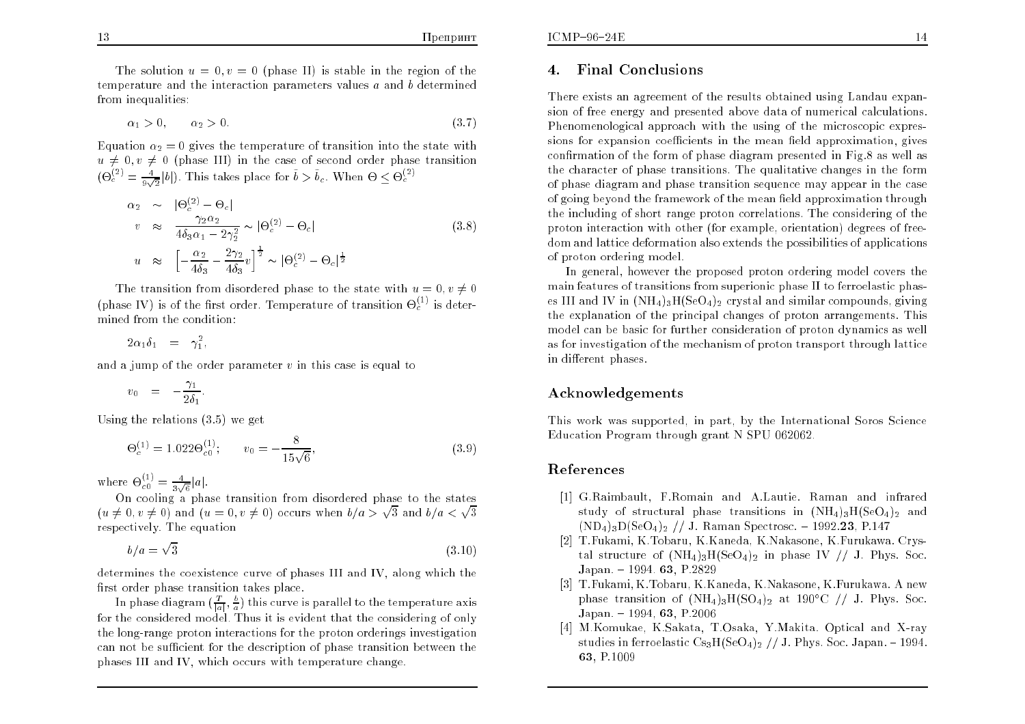The solution  $u = 0, v = 0$  (phase II) is stable in the region of the temperature and the interaction parameters values  $\it{a}$  and  $\it{b}$  determined from inequalities:

$$
\alpha_1 > 0, \qquad \alpha_2 > 0. \tag{3.7}
$$

Equation  $\alpha_2 = 0$  gives the temperature of transition into the state with  $u \neq 0, v \neq 0$  (phase III) in the case of second order phase transition  $(\Theta_c^{(2)} = \frac{4}{9\sqrt{2}} |b|)$ . This takes place for  $\tilde{b} > \tilde{b}_c$ . When  $\Theta \leq \Theta_c^{(2)}$ 

$$
\alpha_2 \sim |\Theta_c^{(2)} - \Theta_c|
$$
  
\n
$$
v \approx \frac{\gamma_2 \alpha_2}{4\delta_3 \alpha_1 - 2\gamma_2^2} \sim |\Theta_c^{(2)} - \Theta_c|
$$
  
\n
$$
u \approx \left[ -\frac{\alpha_2}{4\delta_3} - \frac{2\gamma_2}{4\delta_3} v \right]^{\frac{1}{2}} \sim |\Theta_c^{(2)} - \Theta_c|^{\frac{1}{2}}
$$
\n(3.8)

The transition from disordered phase to the state with  $u = 0, v \neq 0$ (phase IV) is of the first order. Temperature of transition  $\Theta_c^{(1)}$  is determined from the condition:

$$
2\alpha_1\delta_1 = \gamma_1^2,
$$

and a jump of the order parameter  $v$  in this case is equal to

$$
v_0 = -\frac{\gamma_1}{2\delta_1}.
$$

Using the relations (3.5) we ge<sup>t</sup>

$$
\Theta_c^{(1)} = 1.022 \Theta_{c0}^{(1)}; \qquad v_0 = -\frac{8}{15\sqrt{6}}, \tag{3.9}
$$

where  $\Theta_{c0}^{(1)} = \frac{4}{3\sqrt{6}}|a|$ .

On cooling a phase transition from disordered phase to the states  $(u \neq 0, v \neq 0)$  and  $(u = 0, v \neq 0)$  occurs when  $b/a > \sqrt{3}$  and  $b/a < \sqrt{3}$ respectively. The equation

$$
b/a = \sqrt{3} \tag{3.10}
$$

determines the coexistence curve of <sup>p</sup>hases III and IV, along which the first order phase transition takes place.

In phase diagram  $(\frac{T}{|a|}, \frac{b}{a})$  this curve is parallel to the temperature axis for the considered model. Thus it is evident that the considering of only the long-range proton interactions for the proton orderings investigationcan not be sufficient for the description of phase transition between the <sup>p</sup>hases III and IV, which occurs with temperature change.

#### 4.Final Conclusions

There exists an agreemen<sup>t</sup> of the results obtained using Landau expansion of free energy and presented abo ve data of numerical calculations. Phenomenological approach with the using of the microscopic expressions for expansion coefficients in the mean field approximation, gives confirmation of the form of phase diagram presented in Fig.8 as well as the character of <sup>p</sup>hase transitions. The qualitative changes in the form of <sup>p</sup>hase diagram and <sup>p</sup>hase transition sequence may appear in the caseof going beyond the framework of the mean field approximation through the including of short range proton correlations. The considering of the proton interaction with other (for example, orientation) degrees of freedom and lattice deformation also extends the possibilities of applicationsof proton ordering model.

In general, however the propose<sup>d</sup> proton ordering model co vers the main features of transitions from superionic phase II to ferroelastic phases III and IV in  $(NH_4)_3H(SeO_4)_2$  crystal and similar compounds, giving the explanation of the principal changes of proton arrangements. This model can be basic for further consideration of proton dynamics as well as for investigation of the mechanism of proton transport through latticein different phases.

## Acknowledgements

Thisworkwas supported, in part, by the International Soros Science Education Program through gran<sup>t</sup> N SPU 062062.

### References

- [1] G.Raimbault, F.Romain and A.Lautie. Raman and infrared study of structural phase transitions in  $(NH_4)_3H(SeO_4)_2$  and  $(\text{ND}_4)_3\text{D}(\text{SeO}_4)_2$  // J. Raman Spectrosc. - 1992.23, P.147
- [2] T.Fukami, K.Tobaru, K.Kaneda, K.Nakasone, K.Furukawa. Crystal structure of  $(NH_4)_3H(SeO_4)_2$  in phase IV // J. Phys. Soc. Japan. – 1994. **63**, P.2829
- [3] T.Fukami, K.Tobaru, K.Kaneda, K.Nakasone, K.Furukawa. A newphase transition of  $(NH_4)_3H(SO_4)_2$  at 190°C // J. Phys. Soc.  ${\rm Japan.}-1994,$   ${\bf 63},$   ${\rm P.2006}$
- [4] M.Komukae, K.Sakata, T.Osaka, Y.Makita. Optical and X-ra ystudies in ferroelastic  $\text{Cs}_3\text{H}(\text{SeO}_4)_2$  // J. Phys. Soc. Japan. - 1994. 63, P.1009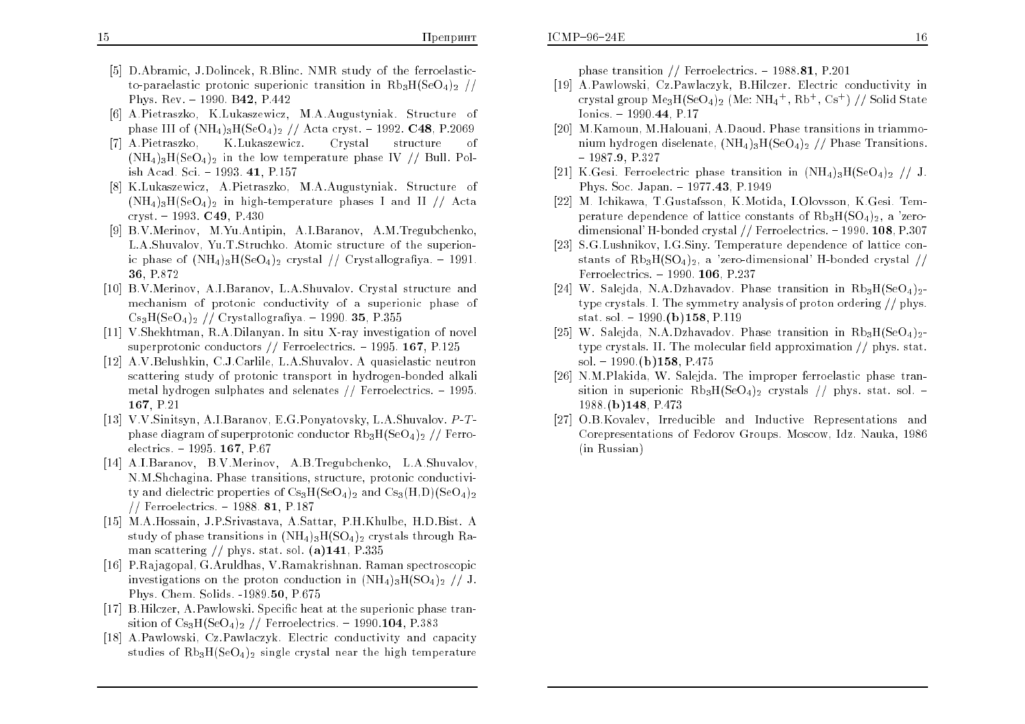- [5] D.Abramic, J.Dolincek, R.Blinc. NMR study of the ferroelasticto-paraelastic protonic superionic transition in  $\text{Rb}_3\text{H}(\text{SeO}_4)_2$  // Phys. Rev. - 1990. B42, P.442
- [6] A.Pietraszko, K.Lukaszewicz, M.A.Augustyniak. Structure of phase III of  $(NH_4)_{3}H(SeO_4)_2$  // Acta cryst. - 1992. C48, P.2069
- [7] A.Pietraszko. K.Lukaszewicz. Crystal structure of  $(NH_4)_3H(SeO_4)_2$  in the low temperature phase IV // Bull. Polish Acad. Sci. { 1993. 41, P.157
- [8] K.Lukaszewicz, A.Pietraszko, M.A.Augustyniak. Structure of  $(NH_4)_3H(SeO_4)_2$  in high-temperature phases I and II // Acta cryst. { 1993. C49, P.430
- [9] B.V.Merinov, M.Yu.Antipin, A.I.Baranov, A.M.Tregubchenko, L.A.Shuvalov, Yu.T.Struchko. Atomic structure of the superionic phase of  $(\text{NH}_4)_3\text{H}(\text{SeO}_4)_2$  crystal // Crystallografiya. - 1991. 36, P.872
- [10] B.V.Merinov, A.I.Baranov, L.A.Shuvalov. Crystal structure andmechanism of protonic conductivity of a superionic phase of<br> $C_2$  H(SeO) // Cavetallografice 1000.25 D255  $\mathrm{Cs}_{3}\mathrm{H}(\mathrm{SeO}_{4})_{2}$  // Crystallografiya. - 1990. **35**, P.355
- [11] V.Shekhtman, R.A.Dilanyan. In situ X-ray investigation of novel superprotonic conductors  $//$  Ferroelectrics. - 1995.  ${\bf 167}$ ,  ${\bf P.125}$
- [12] A.V.Belushkin, C.J.Carlile, L.A.Shuvalov. A quasielastic neutron scattering study of protonic transport in hydrogen-bonded alkali metal hydrogen sulphates and selenates  $//$  Ferroelectrics.  $-1995$ . 167, P.21
- [13] V.V.Sinitsyn, A.I.Baranov, E.G.Ponyatovsky, L.A.Shuvalov. <sup>P</sup> -T phase diagram of superprotonic conductor  $\mathrm{Rb}_3\mathrm{H}(\mathrm{SeO}_4)_2$  // Ferroelectrics. – 1995. **167**, P.67
- [14] A.I.Baranov, B.V.Merinov, A.B.Tregubchenko, L.A.Shuvalov, N.M.Shchagina. Phase transitions, structure, protonic conductivity and dielectric properties of  $\mathrm{Cs}_{3}\mathrm{H}(\mathrm{SeO}_{4})_{2}$  and  $\mathrm{Cs}_{3}(\mathrm{H},\mathrm{D})(\mathrm{SeO}_{4})_{2}$ // Ferroelectrics.  $-$  1988. 81, P.187
- [15] M.A.Hossain, J.P.Srivastava, A.Sattar, P.H.Khulbe, H.D.Bist. Astudy of phase transitions in  $(NH_4)_3H(SO_4)_2$  crystals through Raman scattering // phys. stat. sol.  $\bf(a)141$ ,  $\rm P.335$
- [16] P.Rajagopal, G.Aruldhas, V.Ramakrishnan. Raman spectroscopicinvestigations on the proton conduction in  $(NH_4)_3H(SO_4)_2$  // J. Phys. Chem. Solids. -1989.50, P.675
- [17] B.Hilczer, A.Pawlowski. Specic heat at the superionic <sup>p</sup>hase transition of  $\text{Cs}_3\text{H}(\text{SeO}_4)_2$  // Ferroelectrics. - 1990.104, P.383
- [18] A.Pawlowski, Cz.Pawlaczyk. Electric conductivity and capacity studies of  $\text{Rb}_3\text{H}(\text{SeO}_4)_2$  single crystal near the high temperature

phase transition // Ferroelectrics.  $-1988.81$ , P.201

- [19] A.Pawlowski, Cz.Pawlaczyk, B.Hilczer. Electric conductivity incrystal group  $\rm{Me}_3H(\rm{SeO_4})_2$   $(\rm{Me:NH_4^+,Rb^+,Cs^+)$  // Solid State Ionics.  $-1990.44$ , P.17
- [20] M.Kamoun, M.Halouani, A.Daoud. Phase transitions in triammonium hydrogen diselenate,  $(NH_4)_3H(SeO_4)_2$  // Phase Transitions.  $-$  1987.9, P.327
- [21] K.Gesi. Ferroelectric phase transition in  $(NH_4)_3H(SeO_4)_2$  // J. Phys. Soc. Japan. - 1977.43, P.1949
- [22] M. Ichikawa, T.Gustafsson, K.Motida, I.Olovsson, K.Gesi. Temperature dependence of lattice constants of  $\mathrm{Rb}_3\mathrm{H}(\mathrm{SO}_4)_2$ , a 'zerodimensional'H-bonded crystal // Ferroelectrics.  $-$  1990.  ${\bf 108} , {\rm P.307}$
- [23] S.G.Lushnikov, I.G.Siny. Temperature dependence of lattice constants of  $Rb_3H(SO_4)_2$ , a 'zero-dimensional' H-bonded crystal  $//$  $\rm Ferroelectrics. -1990.$   ${\bf 106}$ ,  ${\rm P.237}$
- [24] W. Salejda, N.A.Dzhavadov. Phase transition in  $\text{Rb}_3\text{H}(\text{SeO}_4)_2$ type crystals. I. The symmetry analysis of proton ordering // <sup>p</sup>hys.stat. sol.  $-1990.$ (b)158, P.119
- [25] W. Salejda, N.A.Dzhavadov. Phase transition in  $\text{Rb}_3\text{H}(\text{SeO}_4)_2$ type crystals. II. The molecular field approximation  $\ell$  phys. stat. sol.  $-1990.$ (b)158, P.475
- [26] N.M.Plakida, W. Salejda. The improper ferroelastic <sup>p</sup>hase tran- $\text{stion}$  in superionic  $\text{Rb}_3\text{H}(\text{SeO}_4)_2$  crystals // phys. stat. sol.  $\text{-}$ 1988.(b)148, P.473
- [27] O.B.Kovalev, Irreducible and Inductive Representations and Corepresentations of Fedorov Groups. Moscow, Idz. Nauka, <sup>1986</sup>(in Russian)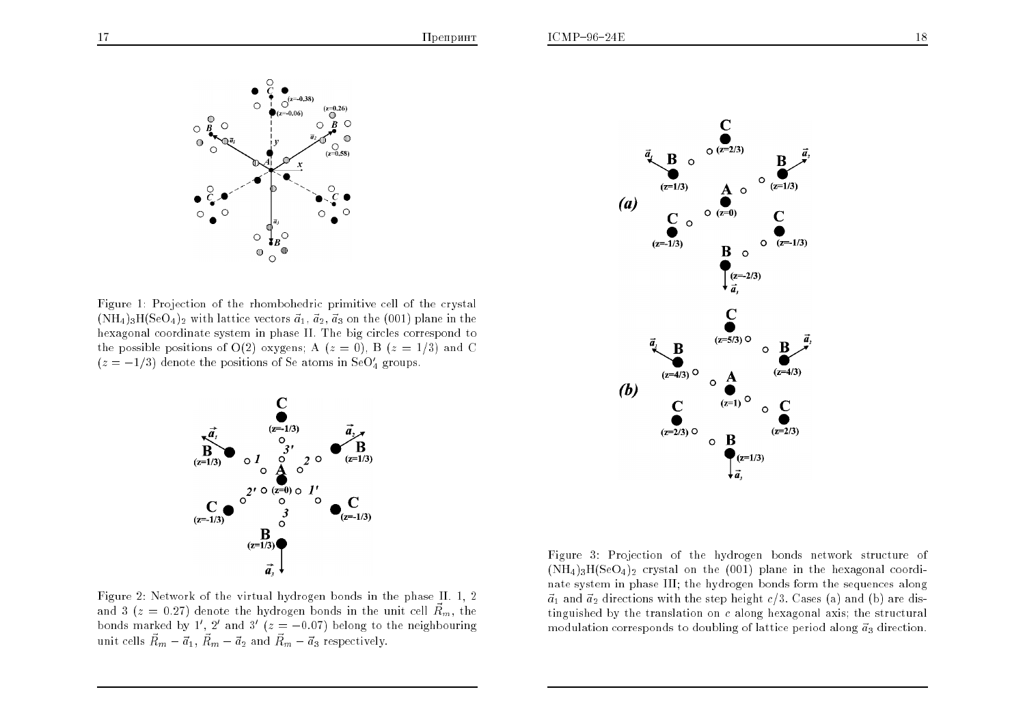

Figure 1: Projection of the rhombohedric primitive cell of the crystal  $(\text{NH}_4)_3\text{H}(\text{SeO}_4)_2$  with lattice vectors  $\vec{a}_1, \vec{a}_2, \vec{a}_3$  on the (001) plane in the hexagonal coordinate system in <sup>p</sup>hase II. The big circles correspond to the possible positions of O(2) oxygens; A ( $z = 0$ ), B ( $z = 1/3$ ) and C  $(z = -1/3)$  denote the positions of Se atoms in SeO $_4'$  groups.



Figure 2: Network of the virtual hydrogen bonds in the <sup>p</sup>hase II. 1, <sup>2</sup> and 3 ( $z = 0.27$ ) denote the hydrogen bonds in the unit cell  $\vec{R}_m$ , the bonds marked by 1', 2' and 3' ( $z = -0.07$ ) belong to the neighbouring unit cells  $\vec{R}_m - \vec{a}_1$ ,  $\vec{R}_m - \vec{a}_2$  and  $\vec{R}_m - \vec{a}_3$  respectively.



Figure 3: Projection of the hydrogen bonds network structure of  $(\text{NH}_4)_3\text{H}(\text{SeO}_4)_2$  crystal on the  $(001)$  plane in the hexagonal coordinate system in <sup>p</sup>hase III; the hydrogen bonds form the sequences along $\vec{a}_1$  and  $\vec{a}_2$  directions with the step height  $c/3$ . Cases (a) and (b) are distinguished by the translation on  $c$  along hexagonal axis; the structural modulation corresponds to doubling of lattice period along  $\vec a_3$  direction.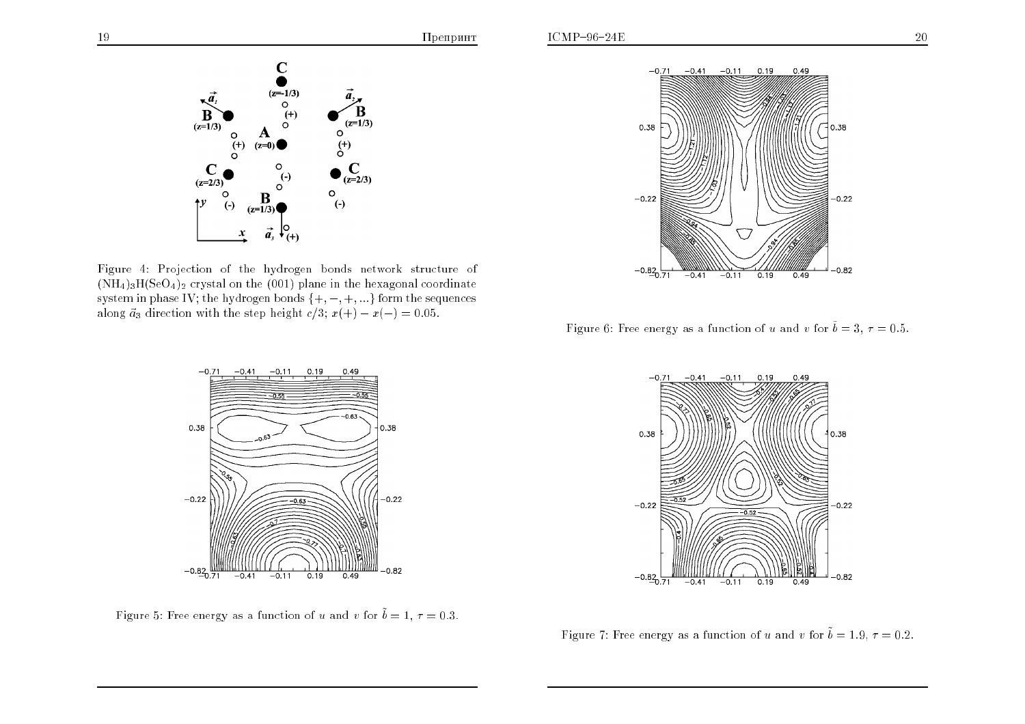

Figure 4: Projection of the hydrogen bonds network structure of  $(\mathrm{NH}_4)_3\mathrm{H}(\mathrm{SeO}_4)_2$  crystal on the  $(001)$  plane in the hexagonal coordinate system in phase IV; the hydrogen bonds  $\{+,-,+, ...\}$  form the sequences along  $\vec{a}_3$  direction with the step height  $c/3$ ;  $x(+) - x(-) = 0.05$ .



Figure 6: Free energy as a function of u and v for  $\tilde{b} = 3, \tau = 0.5.$ 



Figure 5: Free energy as a function of u and v for  $\tilde{b} = 1, \tau = 0.3.$ 



Figure 7: Free energy as a function of u and v for  $\tilde{b} = 1.9, \tau = 0.2$ .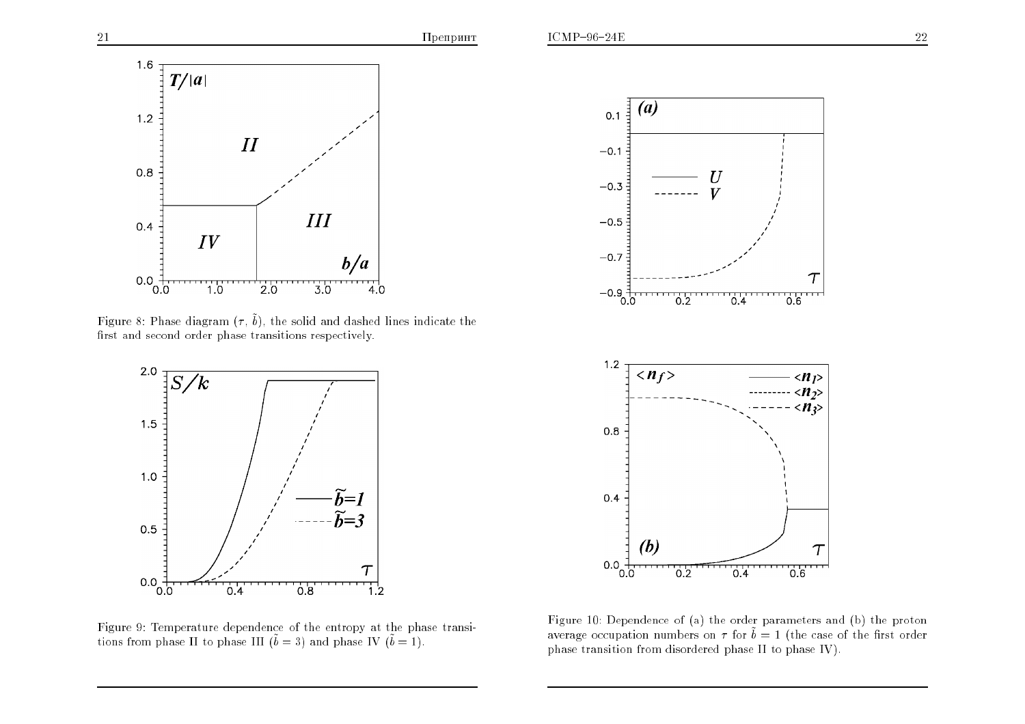

Figure 8: Phase diagram  $(\tau ,\, \tilde{b}),$  the solid and dashed lines indicate the first and second order phase transitions respectively.



Figure 9: Temperature dependence of the entropy at the <sup>p</sup>hase transitions from phase II to phase III ( $\tilde{b} = 3$ ) and phase IV ( $\tilde{b} = 1$ ).



Figure 10: Dependence of (a) the order parameters and (b) the protonaverage occupation numbers on  $\tau$  for  $\tilde{b} = 1$  (the case of the first order <sup>p</sup>hase transition from disordered <sup>p</sup>hase II to <sup>p</sup>hase IV).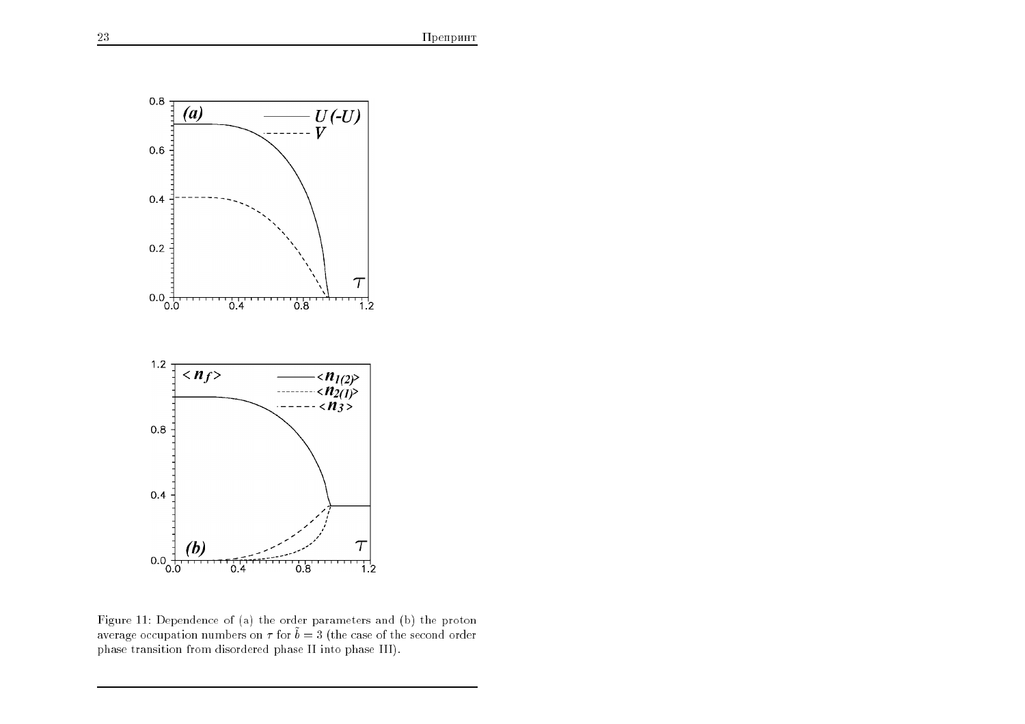

Figure 11: Dependence of (a) the order parameters and (b) the protonaverage occupation numbers on  $\tau$  for  $\tilde{b} = 3$  (the case of the second order <sup>p</sup>hase transition from disordered <sup>p</sup>hase II into <sup>p</sup>hase III).